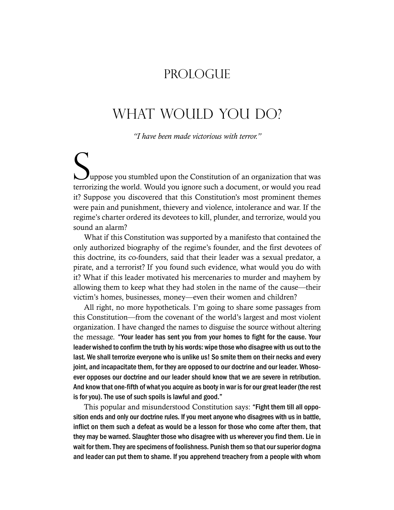## PROLOGUE

## WHAT WOULD YOU DO?

*"I have been made victorious with terror."*

Juppose you stumbled upon the Constitution of an organization that was terrorizing the world. Would you ignore such a document, or would you read it? Suppose you discovered that this Constitution's most prominent themes were pain and punishment, thievery and violence, intolerance and war. If the regime's charter ordered its devotees to kill, plunder, and terrorize, would you sound an alarm?

What if this Constitution was supported by a manifesto that contained the only authorized biography of the regime's founder, and the first devotees of this doctrine, its co-founders, said that their leader was a sexual predator, a pirate, and a terrorist? If you found such evidence, what would you do with it? What if this leader motivated his mercenaries to murder and mayhem by allowing them to keep what they had stolen in the name of the cause—their victim's homes, businesses, money—even their women and children?

All right, no more hypotheticals. I'm going to share some passages from this Constitution—from the covenant of the world's largest and most violent organization. I have changed the names to disguise the source without altering the message. "Your leader has sent you from your homes to fight for the cause. Your leader wished to confirm the truth by his words: wipe those who disagree with us out to the last. We shall terrorize everyone who is unlike us! So smite them on their necks and every joint, and incapacitate them, for they are opposed to our doctrine and our leader. Whosoever opposes our doctrine and our leader should know that we are severe in retribution. And know that one-fifth of what you acquire as booty in war is for our great leader (the rest is for you). The use of such spoils is lawful and good."

This popular and misunderstood Constitution says: "Fight them till all opposition ends and only our doctrine rules. If you meet anyone who disagrees with us in battle, inflict on them such a defeat as would be a lesson for those who come after them, that they may be warned. Slaughter those who disagree with us wherever you find them. Lie in wait for them. They are specimens of foolishness. Punish them so that our superior dogma and leader can put them to shame. If you apprehend treachery from a people with whom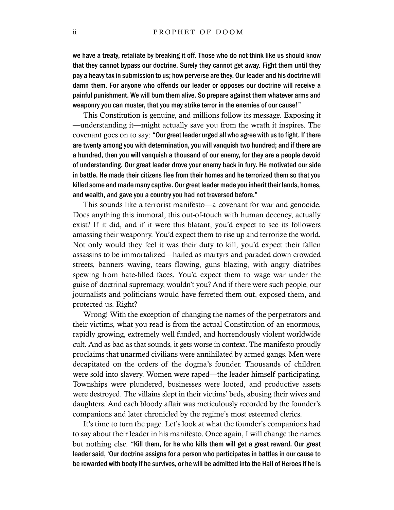we have a treaty, retaliate by breaking it off. Those who do not think like us should know that they cannot bypass our doctrine. Surely they cannot get away. Fight them until they pay a heavy tax in submission to us; how perverse are they. Our leader and his doctrine will damn them. For anyone who offends our leader or opposes our doctrine will receive a painful punishment. We will burn them alive. So prepare against them whatever arms and weaponry you can muster, that you may strike terror in the enemies of our cause!"

This Constitution is genuine, and millions follow its message. Exposing it —understanding it—might actually save you from the wrath it inspires. The covenant goes on to say: "Our great leader urged all who agree with us to fight. If there are twenty among you with determination, you will vanquish two hundred; and if there are a hundred, then you will vanquish a thousand of our enemy, for they are a people devoid of understanding. Our great leader drove your enemy back in fury. He motivated our side in battle. He made their citizens flee from their homes and he terrorized them so that you killed some and made many captive. Our great leader made you inherit their lands, homes, and wealth, and gave you a country you had not traversed before."

This sounds like a terrorist manifesto—a covenant for war and genocide. Does anything this immoral, this out-of-touch with human decency, actually exist? If it did, and if it were this blatant, you'd expect to see its followers amassing their weaponry. You'd expect them to rise up and terrorize the world. Not only would they feel it was their duty to kill, you'd expect their fallen assassins to be immortalized—hailed as martyrs and paraded down crowded streets, banners waving, tears flowing, guns blazing, with angry diatribes spewing from hate-filled faces. You'd expect them to wage war under the guise of doctrinal supremacy, wouldn't you? And if there were such people, our journalists and politicians would have ferreted them out, exposed them, and protected us. Right?

Wrong! With the exception of changing the names of the perpetrators and their victims, what you read is from the actual Constitution of an enormous, rapidly growing, extremely well funded, and horrendously violent worldwide cult. And as bad as that sounds, it gets worse in context. The manifesto proudly proclaims that unarmed civilians were annihilated by armed gangs. Men were decapitated on the orders of the dogma's founder. Thousands of children were sold into slavery. Women were raped—the leader himself participating. Townships were plundered, businesses were looted, and productive assets were destroyed. The villains slept in their victims' beds, abusing their wives and daughters. And each bloody affair was meticulously recorded by the founder's companions and later chronicled by the regime's most esteemed clerics.

It's time to turn the page. Let's look at what the founder's companions had to say about their leader in his manifesto. Once again, I will change the names but nothing else. "Kill them, for he who kills them will get a great reward. Our great leader said, 'Our doctrine assigns for a person who participates in battles in our cause to be rewarded with booty if he survives, or he will be admitted into the Hall of Heroes if he is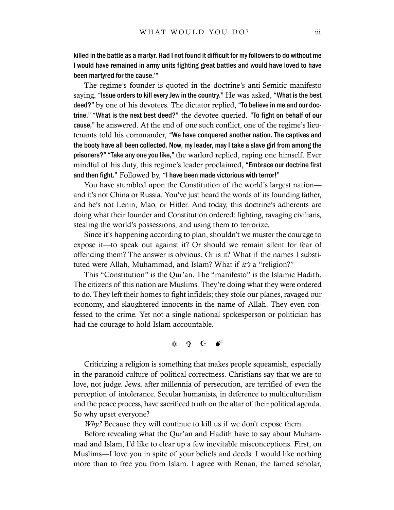killed in the battle as a martyr. Had I not found it difficult for my followers to do without me I would have remained in army units fighting great battles and would have loved to have been martyred for the cause.'"

The regime's founder is quoted in the doctrine's anti-Semitic manifesto saying, "Issue orders to kill every Jew in the country." He was asked, "What is the best deed?" by one of his devotees. The dictator replied, "To believe in me and our doctrine." "What is the next best deed?" the devotee queried. "To fight on behalf of our cause," he answered. At the end of one such conflict, one of the regime's lieutenants told his commander, "We have conquered another nation. The captives and the booty have all been collected. Now, my leader, may I take a slave girl from among the prisoners?" "Take any one you like," the warlord replied, raping one himself. Ever mindful of his duty, this regime's leader proclaimed, "Embrace our doctrine first and then fight." Followed by, "I have been made victorious with terror!"

You have stumbled upon the Constitution of the world's largest nation and it's not China or Russia. You've just heard the words of its founding father, and he's not Lenin, Mao, or Hitler. And today, this doctrine's adherents are doing what their founder and Constitution ordered: fighting, ravaging civilians, stealing the world's possessions, and using them to terrorize.

Since it's happening according to plan, shouldn't we muster the courage to expose it—to speak out against it? Or should we remain silent for fear of offending them? The answer is obvious. Or is it? What if the names I substituted were Allah, Muhammad, and Islam? What if *it's* a "religion?"

This "Constitution" is the Qur'an. The "manifesto" is the Islamic Hadith. The citizens of this nation are Muslims. They're doing what they were ordered to do. They left their homes to fight infidels; they stole our planes, ravaged our economy, and slaughtered innocents in the name of Allah. They even confessed to the crime. Yet not a single national spokesperson or politician has had the courage to hold Islam accountable.

**☆ ☆ ☆** 

Criticizing a religion is something that makes people squeamish, especially in the paranoid culture of political correctness. Christians say that we are to love, not judge. Jews, after millennia of persecution, are terrified of even the perception of intolerance. Secular humanists, in deference to multiculturalism and the peace process, have sacrificed truth on the altar of their political agenda. So why upset everyone?

*Why?* Because they will continue to kill us if we don't expose them.

Before revealing what the Qur'an and Hadith have to say about Muhammad and Islam, I'd like to clear up a few inevitable misconceptions. First, on Muslims—I love you in spite of your beliefs and deeds. I would like nothing more than to free you from Islam. I agree with Renan, the famed scholar,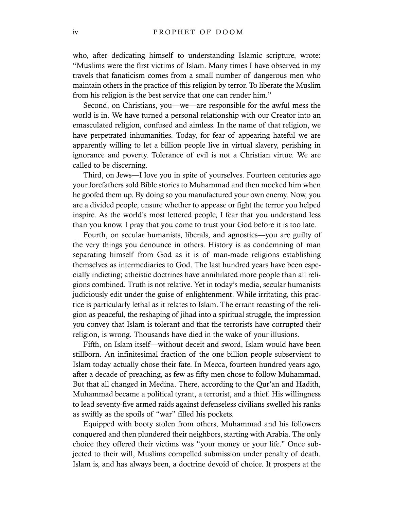who, after dedicating himself to understanding Islamic scripture, wrote: "Muslims were the first victims of Islam. Many times I have observed in my travels that fanaticism comes from a small number of dangerous men who maintain others in the practice of this religion by terror. To liberate the Muslim from his religion is the best service that one can render him."

Second, on Christians, you—we—are responsible for the awful mess the world is in. We have turned a personal relationship with our Creator into an emasculated religion, confused and aimless. In the name of that religion, we have perpetrated inhumanities. Today, for fear of appearing hateful we are apparently willing to let a billion people live in virtual slavery, perishing in ignorance and poverty. Tolerance of evil is not a Christian virtue. We are called to be discerning.

Third, on Jews—I love you in spite of yourselves. Fourteen centuries ago your forefathers sold Bible stories to Muhammad and then mocked him when he goofed them up. By doing so you manufactured your own enemy. Now, you are a divided people, unsure whether to appease or fight the terror you helped inspire. As the world's most lettered people, I fear that you understand less than you know. I pray that you come to trust your God before it is too late.

Fourth, on secular humanists, liberals, and agnostics—you are guilty of the very things you denounce in others. History is as condemning of man separating himself from God as it is of man-made religions establishing themselves as intermediaries to God. The last hundred years have been especially indicting; atheistic doctrines have annihilated more people than all religions combined. Truth is not relative. Yet in today's media, secular humanists judiciously edit under the guise of enlightenment. While irritating, this practice is particularly lethal as it relates to Islam. The errant recasting of the religion as peaceful, the reshaping of jihad into a spiritual struggle, the impression you convey that Islam is tolerant and that the terrorists have corrupted their religion, is wrong. Thousands have died in the wake of your illusions.

Fifth, on Islam itself—without deceit and sword, Islam would have been stillborn. An infinitesimal fraction of the one billion people subservient to Islam today actually chose their fate. In Mecca, fourteen hundred years ago, after a decade of preaching, as few as fifty men chose to follow Muhammad. But that all changed in Medina. There, according to the Qur'an and Hadith, Muhammad became a political tyrant, a terrorist, and a thief. His willingness to lead seventy-five armed raids against defenseless civilians swelled his ranks as swiftly as the spoils of "war" filled his pockets.

Equipped with booty stolen from others, Muhammad and his followers conquered and then plundered their neighbors, starting with Arabia. The only choice they offered their victims was "your money or your life." Once subjected to their will, Muslims compelled submission under penalty of death. Islam is, and has always been, a doctrine devoid of choice. It prospers at the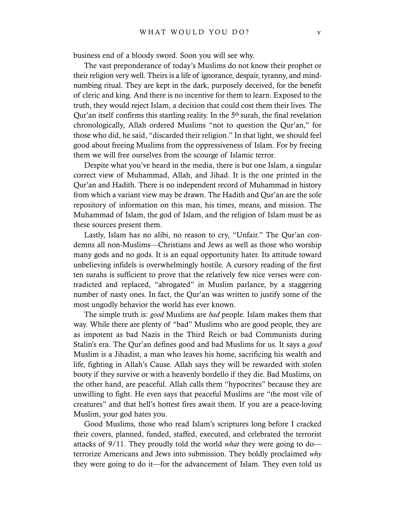business end of a bloody sword. Soon you will see why.

The vast preponderance of today's Muslims do not know their prophet or their religion very well. Theirs is a life of ignorance, despair, tyranny, and mindnumbing ritual. They are kept in the dark, purposely deceived, for the benefit of cleric and king. And there is no incentive for them to learn. Exposed to the truth, they would reject Islam, a decision that could cost them their lives. The Qur'an itself confirms this startling reality. In the 5th surah, the final revelation chronologically, Allah ordered Muslims "not to question the Qur'an," for those who did, he said, "discarded their religion." In that light, we should feel good about freeing Muslims from the oppressiveness of Islam. For by freeing them we will free ourselves from the scourge of Islamic terror.

Despite what you've heard in the media, there is but one Islam, a singular correct view of Muhammad, Allah, and Jihad. It is the one printed in the Qur'an and Hadith. There is no independent record of Muhammad in history from which a variant view may be drawn. The Hadith and Qur'an are the sole repository of information on this man, his times, means, and mission. The Muhammad of Islam, the god of Islam, and the religion of Islam must be as these sources present them.

Lastly, Islam has no alibi, no reason to cry, "Unfair." The Qur'an condemns all non-Muslims—Christians and Jews as well as those who worship many gods and no gods. It is an equal opportunity hater. Its attitude toward unbelieving infidels is overwhelmingly hostile. A cursory reading of the first ten surahs is sufficient to prove that the relatively few nice verses were contradicted and replaced, "abrogated" in Muslim parlance, by a staggering number of nasty ones. In fact, the Qur'an was written to justify some of the most ungodly behavior the world has ever known.

The simple truth is: *good* Muslims are *bad* people. Islam makes them that way. While there are plenty of "bad" Muslims who are good people, they are as impotent as bad Nazis in the Third Reich or bad Communists during Stalin's era. The Qur'an defines good and bad Muslims for us. It says a *good* Muslim is a Jihadist, a man who leaves his home, sacrificing his wealth and life, fighting in Allah's Cause. Allah says they will be rewarded with stolen booty if they survive or with a heavenly bordello if they die. Bad Muslims, on the other hand, are peaceful. Allah calls them "hypocrites" because they are unwilling to fight. He even says that peaceful Muslims are "the most vile of creatures" and that hell's hottest fires await them. If you are a peace-loving Muslim, your god hates you.

Good Muslims, those who read Islam's scriptures long before I cracked their covers, planned, funded, staffed, executed, and celebrated the terrorist attacks of 9/11. They proudly told the world *what* they were going to do terrorize Americans and Jews into submission. They boldly proclaimed *why* they were going to do it—for the advancement of Islam. They even told us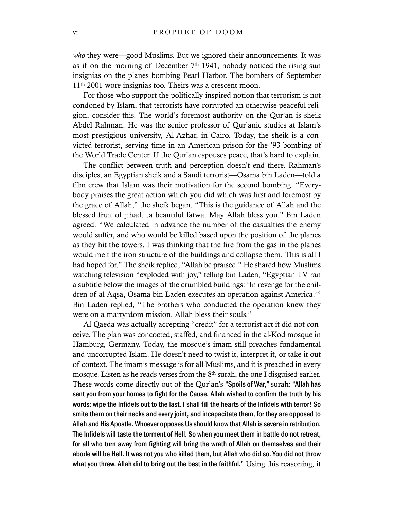*who* they were—good Muslims. But we ignored their announcements. It was as if on the morning of December 7th 1941, nobody noticed the rising sun insignias on the planes bombing Pearl Harbor. The bombers of September 11th 2001 wore insignias too. Theirs was a crescent moon.

For those who support the politically-inspired notion that terrorism is not condoned by Islam, that terrorists have corrupted an otherwise peaceful religion, consider this. The world's foremost authority on the Qur'an is sheik Abdel Rahman. He was the senior professor of Qur'anic studies at Islam's most prestigious university, Al-Azhar, in Cairo. Today, the sheik is a convicted terrorist, serving time in an American prison for the '93 bombing of the World Trade Center. If the Qur'an espouses peace, that's hard to explain.

The conflict between truth and perception doesn't end there. Rahman's disciples, an Egyptian sheik and a Saudi terrorist—Osama bin Laden—told a film crew that Islam was their motivation for the second bombing. "Everybody praises the great action which you did which was first and foremost by the grace of Allah," the sheik began. "This is the guidance of Allah and the blessed fruit of jihad…a beautiful fatwa. May Allah bless you." Bin Laden agreed. "We calculated in advance the number of the casualties the enemy would suffer, and who would be killed based upon the position of the planes as they hit the towers. I was thinking that the fire from the gas in the planes would melt the iron structure of the buildings and collapse them. This is all I had hoped for." The sheik replied, "Allah be praised." He shared how Muslims watching television "exploded with joy," telling bin Laden, "Egyptian TV ran a subtitle below the images of the crumbled buildings: 'In revenge for the children of al Aqsa, Osama bin Laden executes an operation against America.'" Bin Laden replied, "The brothers who conducted the operation knew they were on a martyrdom mission. Allah bless their souls."

Al-Qaeda was actually accepting "credit" for a terrorist act it did not conceive. The plan was concocted, staffed, and financed in the al-Kod mosque in Hamburg, Germany. Today, the mosque's imam still preaches fundamental and uncorrupted Islam. He doesn't need to twist it, interpret it, or take it out of context. The imam's message is for all Muslims, and it is preached in every mosque. Listen as he reads verses from the 8th surah, the one I disguised earlier. These words come directly out of the Qur'an's "Spoils of War," surah: "Allah has sent you from your homes to fight for the Cause. Allah wished to confirm the truth by his words: wipe the Infidels out to the last. I shall fill the hearts of the Infidels with terror! So smite them on their necks and every joint, and incapacitate them, for they are opposed to Allah and His Apostle. Whoever opposes Us should know that Allah is severe in retribution. The Infidels will taste the torment of Hell. So when you meet them in battle do not retreat, for all who turn away from fighting will bring the wrath of Allah on themselves and their abode will be Hell. It was not you who killed them, but Allah who did so. You did not throw what you threw. Allah did to bring out the best in the faithful." Using this reasoning, it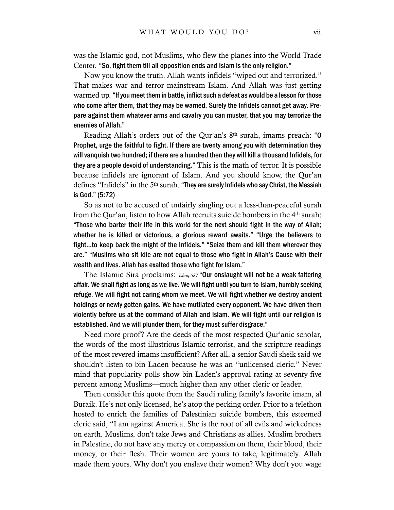was the Islamic god, not Muslims, who flew the planes into the World Trade Center. "So, fight them till all opposition ends and Islam is the only religion."

Now you know the truth. Allah wants infidels "wiped out and terrorized." That makes war and terror mainstream Islam. And Allah was just getting warmed up. "If you meet them in battle, inflict such a defeat as would be a lesson for those who come after them, that they may be warned. Surely the Infidels cannot get away. Prepare against them whatever arms and cavalry you can muster, that you may terrorize the enemies of Allah."

Reading Allah's orders out of the Qur'an's 8th surah, imams preach: "O Prophet, urge the faithful to fight. If there are twenty among you with determination they will vanquish two hundred; if there are a hundred then they will kill a thousand Infidels, for they are a people devoid of understanding." This is the math of terror. It is possible because infidels are ignorant of Islam. And you should know, the Qur'an defines "Infidels" in the 5th surah. "They are surely Infidels who say Christ, the Messiah is God." (5:72)

So as not to be accused of unfairly singling out a less-than-peaceful surah from the Qur'an, listen to how Allah recruits suicide bombers in the 4th surah: "Those who barter their life in this world for the next should fight in the way of Allah; whether he is killed or victorious, a glorious reward awaits." "Urge the believers to fight…to keep back the might of the Infidels." "Seize them and kill them wherever they are." "Muslims who sit idle are not equal to those who fight in Allah's Cause with their wealth and lives. Allah has exalted those who fight for Islam."

The Islamic Sira proclaims: *Ishaq:587* "Our onslaught will not be a weak faltering affair. We shall fight as long as we live. We will fight until you turn to Islam, humbly seeking refuge. We will fight not caring whom we meet. We will fight whether we destroy ancient holdings or newly gotten gains. We have mutilated every opponent. We have driven them violently before us at the command of Allah and Islam. We will fight until our religion is established. And we will plunder them, for they must suffer disgrace."

Need more proof? Are the deeds of the most respected Qur'anic scholar, the words of the most illustrious Islamic terrorist, and the scripture readings of the most revered imams insufficient? After all, a senior Saudi sheik said we shouldn't listen to bin Laden because he was an "unlicensed cleric." Never mind that popularity polls show bin Laden's approval rating at seventy-five percent among Muslims—much higher than any other cleric or leader.

Then consider this quote from the Saudi ruling family's favorite imam, al Buraik. He's not only licensed, he's atop the pecking order. Prior to a telethon hosted to enrich the families of Palestinian suicide bombers, this esteemed cleric said, "I am against America. She is the root of all evils and wickedness on earth. Muslims, don't take Jews and Christians as allies. Muslim brothers in Palestine, do not have any mercy or compassion on them, their blood, their money, or their flesh. Their women are yours to take, legitimately. Allah made them yours. Why don't you enslave their women? Why don't you wage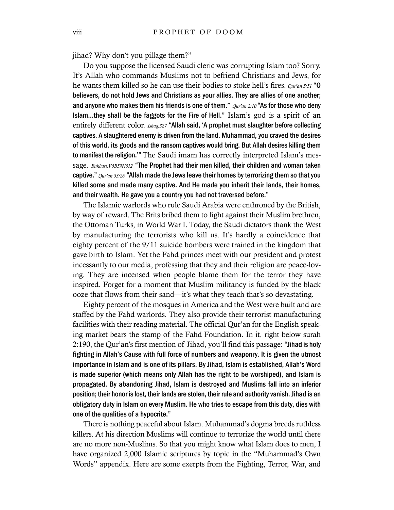jihad? Why don't you pillage them?"

Do you suppose the licensed Saudi cleric was corrupting Islam too? Sorry. It's Allah who commands Muslims not to befriend Christians and Jews, for he wants them killed so he can use their bodies to stoke hell's fires. *Qur'an 5:51* "O believers, do not hold Jews and Christians as your allies. They are allies of one another; and anyone who makes them his friends is one of them." *Qur'an 2:10* "As for those who deny Islam...they shall be the faggots for the Fire of Hell." Islam's god is a spirit of an entirely different color. *Ishaq:327* "Allah said, 'A prophet must slaughter before collecting captives. A slaughtered enemy is driven from the land. Muhammad, you craved the desires of this world, its goods and the ransom captives would bring. But Allah desires killing them to manifest the religion.'" The Saudi imam has correctly interpreted Islam's message. *Bukhari:V5B59N512* "The Prophet had their men killed, their children and woman taken captive." *Qur'an 33:26* "Allah made the Jews leave their homes by terrorizing them so that you killed some and made many captive. And He made you inherit their lands, their homes, and their wealth. He gave you a country you had not traversed before."

The Islamic warlords who rule Saudi Arabia were enthroned by the British, by way of reward. The Brits bribed them to fight against their Muslim brethren, the Ottoman Turks, in World War I. Today, the Saudi dictators thank the West by manufacturing the terrorists who kill us. It's hardly a coincidence that eighty percent of the 9/11 suicide bombers were trained in the kingdom that gave birth to Islam. Yet the Fahd princes meet with our president and protest incessantly to our media, professing that they and their religion are peace-loving. They are incensed when people blame them for the terror they have inspired. Forget for a moment that Muslim militancy is funded by the black ooze that flows from their sand—it's what they teach that's so devastating.

Eighty percent of the mosques in America and the West were built and are staffed by the Fahd warlords. They also provide their terrorist manufacturing facilities with their reading material. The official Qur'an for the English speaking market bears the stamp of the Fahd Foundation. In it, right below surah 2:190, the Qur'an's first mention of Jihad, you'll find this passage: "Jihad is holy fighting in Allah's Cause with full force of numbers and weaponry. It is given the utmost importance in Islam and is one of its pillars. By Jihad, Islam is established, Allah's Word is made superior (which means only Allah has the right to be worshiped), and Islam is propagated. By abandoning Jihad, Islam is destroyed and Muslims fall into an inferior position; their honor is lost, their lands are stolen, their rule and authority vanish. Jihad is an obligatory duty in Islam on every Muslim. He who tries to escape from this duty, dies with one of the qualities of a hypocrite."

There is nothing peaceful about Islam. Muhammad's dogma breeds ruthless killers. At his direction Muslims will continue to terrorize the world until there are no more non-Muslims. So that you might know what Islam does to men, I have organized 2,000 Islamic scriptures by topic in the "Muhammad's Own Words" appendix. Here are some exerpts from the Fighting, Terror, War, and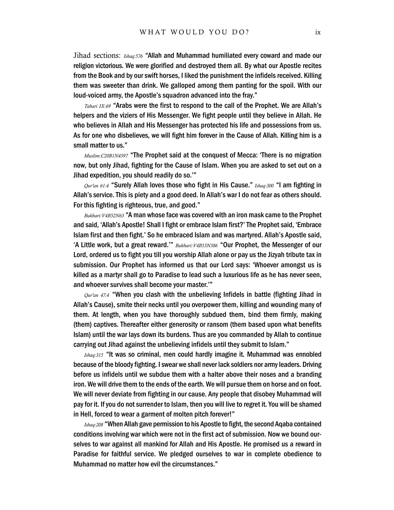Jihad sections: *Ishaq:576* "Allah and Muhammad humiliated every coward and made our religion victorious. We were glorified and destroyed them all. By what our Apostle recites from the Book and by our swift horses, I liked the punishment the infidels received. Killing them was sweeter than drink. We galloped among them panting for the spoil. With our loud-voiced army, the Apostle's squadron advanced into the fray."

*Tabari IX:69* "Arabs were the first to respond to the call of the Prophet. We are Allah's helpers and the viziers of His Messenger. We fight people until they believe in Allah. He who believes in Allah and His Messenger has protected his life and possessions from us. As for one who disbelieves, we will fight him forever in the Cause of Allah. Killing him is a small matter to us."

*Muslim:C20B1N4597* "The Prophet said at the conquest of Mecca: 'There is no migration now, but only Jihad, fighting for the Cause of Islam. When you are asked to set out on a Jihad expedition, you should readily do so.'"

*Qur'an 61:4* "Surely Allah loves those who fight in His Cause." *Ishaq:300* "I am fighting in Allah's service.This is piety and a good deed. In Allah's war I do not fear as others should. For this fighting is righteous, true, and good."

*Bukhari:V4B52N63* "A man whose face was covered with an iron mask came to the Prophet and said, 'Allah's Apostle! Shall I fight or embrace Islam first?' The Prophet said, 'Embrace Islam first and then fight.' So he embraced Islam and was martyred. Allah's Apostle said, 'A Little work, but a great reward." *Bukhari:V4B53N386* "Our Prophet, the Messenger of our Lord, ordered us to fight you till you worship Allah alone or pay us the Jizyah tribute tax in submission. Our Prophet has informed us that our Lord says: 'Whoever amongst us is killed as a martyr shall go to Paradise to lead such a luxurious life as he has never seen, and whoever survives shall become your master.'"

*Qur'an 47:4* "When you clash with the unbelieving Infidels in battle (fighting Jihad in Allah's Cause), smite their necks until you overpower them, killing and wounding many of them. At length, when you have thoroughly subdued them, bind them firmly, making (them) captives. Thereafter either generosity or ransom (them based upon what benefits Islam) until the war lays down its burdens. Thus are you commanded by Allah to continue carrying out Jihad against the unbelieving infidels until they submit to Islam."

*Ishaq:315* "It was so criminal, men could hardly imagine it. Muhammad was ennobled because of the bloody fighting. I swear we shall never lack soldiers nor army leaders. Driving before us infidels until we subdue them with a halter above their noses and a branding iron. We will drive them to the ends of the earth. We will pursue them on horse and on foot. We will never deviate from fighting in our cause. Any people that disobey Muhammad will pay for it. If you do not surrender to Islam, then you will live to regret it. You will be shamed in Hell, forced to wear a garment of molten pitch forever!"

*Ishaq:208* "When Allah gave permission to his Apostle to fight, the second Aqaba contained conditions involving war which were not in the first act of submission. Now we bound ourselves to war against all mankind for Allah and His Apostle. He promised us a reward in Paradise for faithful service. We pledged ourselves to war in complete obedience to Muhammad no matter how evil the circumstances."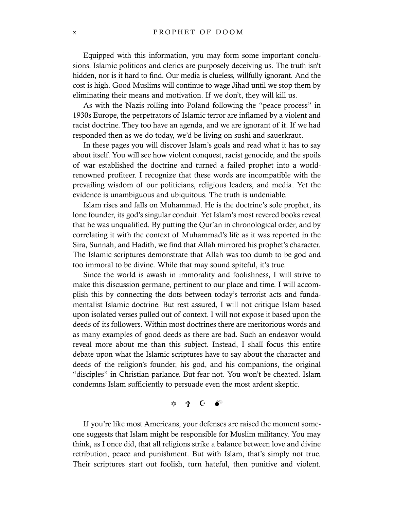Equipped with this information, you may form some important conclusions. Islamic politicos and clerics are purposely deceiving us. The truth isn't hidden, nor is it hard to find. Our media is clueless, willfully ignorant. And the cost is high. Good Muslims will continue to wage Jihad until we stop them by eliminating their means and motivation. If we don't, they will kill us.

As with the Nazis rolling into Poland following the "peace process" in 1930s Europe, the perpetrators of Islamic terror are inflamed by a violent and racist doctrine. They too have an agenda, and we are ignorant of it. If we had responded then as we do today, we'd be living on sushi and sauerkraut.

In these pages you will discover Islam's goals and read what it has to say about itself. You will see how violent conquest, racist genocide, and the spoils of war established the doctrine and turned a failed prophet into a worldrenowned profiteer. I recognize that these words are incompatible with the prevailing wisdom of our politicians, religious leaders, and media. Yet the evidence is unambiguous and ubiquitous. The truth is undeniable.

Islam rises and falls on Muhammad. He is the doctrine's sole prophet, its lone founder, its god's singular conduit. Yet Islam's most revered books reveal that he was unqualified. By putting the Qur'an in chronological order, and by correlating it with the context of Muhammad's life as it was reported in the Sira, Sunnah, and Hadith, we find that Allah mirrored his prophet's character. The Islamic scriptures demonstrate that Allah was too dumb to be god and too immoral to be divine. While that may sound spiteful, it's true.

Since the world is awash in immorality and foolishness, I will strive to make this discussion germane, pertinent to our place and time. I will accomplish this by connecting the dots between today's terrorist acts and fundamentalist Islamic doctrine. But rest assured, I will not critique Islam based upon isolated verses pulled out of context. I will not expose it based upon the deeds of its followers. Within most doctrines there are meritorious words and as many examples of good deeds as there are bad. Such an endeavor would reveal more about me than this subject. Instead, I shall focus this entire debate upon what the Islamic scriptures have to say about the character and deeds of the religion's founder, his god, and his companions, the original "disciples" in Christian parlance. But fear not. You won't be cheated. Islam condemns Islam sufficiently to persuade even the most ardent skeptic.

**众 中 C 6<sup>米</sup>** 

If you're like most Americans, your defenses are raised the moment someone suggests that Islam might be responsible for Muslim militancy. You may think, as I once did, that all religions strike a balance between love and divine retribution, peace and punishment. But with Islam, that's simply not true. Their scriptures start out foolish, turn hateful, then punitive and violent.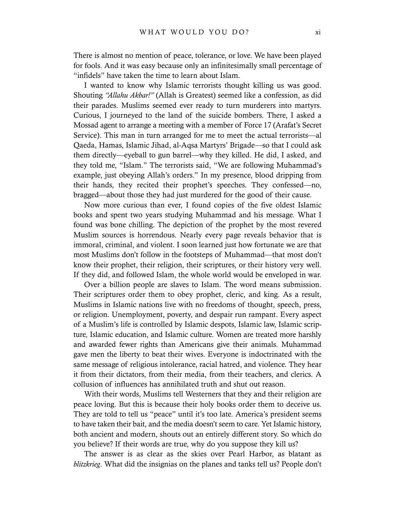There is almost no mention of peace, tolerance, or love. We have been played for fools. And it was easy because only an infinitesimally small percentage of "infidels" have taken the time to learn about Islam.

I wanted to know why Islamic terrorists thought killing us was good. Shouting *"Allahu Akbar!"* (Allah is Greatest) seemed like a confession, as did their parades. Muslims seemed ever ready to turn murderers into martyrs. Curious, I journeyed to the land of the suicide bombers. There, I asked a Mossad agent to arrange a meeting with a member of Force 17 (Arafat's Secret Service). This man in turn arranged for me to meet the actual terrorists—al Qaeda, Hamas, Islamic Jihad, al-Aqsa Martyrs' Brigade—so that I could ask them directly—eyeball to gun barrel—why they killed. He did, I asked, and they told me, "Islam." The terrorists said, "We are following Muhammad's example, just obeying Allah's orders." In my presence, blood dripping from their hands, they recited their prophet's speeches. They confessed—no, bragged—about those they had just murdered for the good of their cause.

Now more curious than ever, I found copies of the five oldest Islamic books and spent two years studying Muhammad and his message. What I found was bone chilling. The depiction of the prophet by the most revered Muslim sources is horrendous. Nearly every page reveals behavior that is immoral, criminal, and violent. I soon learned just how fortunate we are that most Muslims don't follow in the footsteps of Muhammad—that most don't know their prophet, their religion, their scriptures, or their history very well. If they did, and followed Islam, the whole world would be enveloped in war.

Over a billion people are slaves to Islam. The word means submission. Their scriptures order them to obey prophet, cleric, and king. As a result, Muslims in Islamic nations live with no freedoms of thought, speech, press, or religion. Unemployment, poverty, and despair run rampant. Every aspect of a Muslim's life is controlled by Islamic despots, Islamic law, Islamic scripture, Islamic education, and Islamic culture. Women are treated more harshly and awarded fewer rights than Americans give their animals. Muhammad gave men the liberty to beat their wives. Everyone is indoctrinated with the same message of religious intolerance, racial hatred, and violence. They hear it from their dictators, from their media, from their teachers, and clerics. A collusion of influences has annihilated truth and shut out reason.

With their words, Muslims tell Westerners that they and their religion are peace loving. But this is because their holy books order them to deceive us. They are told to tell us "peace" until it's too late. America's president seems to have taken their bait, and the media doesn't seem to care. Yet Islamic history, both ancient and modern, shouts out an entirely different story. So which do you believe? If their words are true, why do you suppose they kill us?

The answer is as clear as the skies over Pearl Harbor, as blatant as *blitzkrieg*. What did the insignias on the planes and tanks tell us? People don't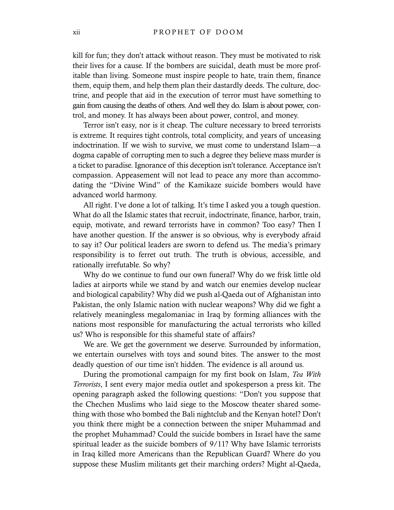kill for fun; they don't attack without reason. They must be motivated to risk their lives for a cause. If the bombers are suicidal, death must be more profitable than living. Someone must inspire people to hate, train them, finance them, equip them, and help them plan their dastardly deeds. The culture, doctrine, and people that aid in the execution of terror must have something to gain from causing the deaths of others. And well they do. Islam is about power, control, and money. It has always been about power, control, and money.

Terror isn't easy, nor is it cheap. The culture necessary to breed terrorists is extreme. It requires tight controls, total complicity, and years of unceasing indoctrination. If we wish to survive, we must come to understand Islam—a dogma capable of corrupting men to such a degree they believe mass murder is a ticket to paradise. Ignorance of this deception isn't tolerance. Acceptance isn't compassion. Appeasement will not lead to peace any more than accommodating the "Divine Wind" of the Kamikaze suicide bombers would have advanced world harmony.

All right. I've done a lot of talking. It's time I asked you a tough question. What do all the Islamic states that recruit, indoctrinate, finance, harbor, train, equip, motivate, and reward terrorists have in common? Too easy? Then I have another question. If the answer is so obvious, why is everybody afraid to say it? Our political leaders are sworn to defend us. The media's primary responsibility is to ferret out truth. The truth is obvious, accessible, and rationally irrefutable. So why?

Why do we continue to fund our own funeral? Why do we frisk little old ladies at airports while we stand by and watch our enemies develop nuclear and biological capability? Why did we push al-Qaeda out of Afghanistan into Pakistan, the only Islamic nation with nuclear weapons? Why did we fight a relatively meaningless megalomaniac in Iraq by forming alliances with the nations most responsible for manufacturing the actual terrorists who killed us? Who is responsible for this shameful state of affairs?

We are. We get the government we deserve. Surrounded by information, we entertain ourselves with toys and sound bites. The answer to the most deadly question of our time isn't hidden. The evidence is all around us.

During the promotional campaign for my first book on Islam, *Tea With Terrorists*, I sent every major media outlet and spokesperson a press kit. The opening paragraph asked the following questions: "Don't you suppose that the Chechen Muslims who laid siege to the Moscow theater shared something with those who bombed the Bali nightclub and the Kenyan hotel? Don't you think there might be a connection between the sniper Muhammad and the prophet Muhammad? Could the suicide bombers in Israel have the same spiritual leader as the suicide bombers of 9/11? Why have Islamic terrorists in Iraq killed more Americans than the Republican Guard? Where do you suppose these Muslim militants get their marching orders? Might al-Qaeda,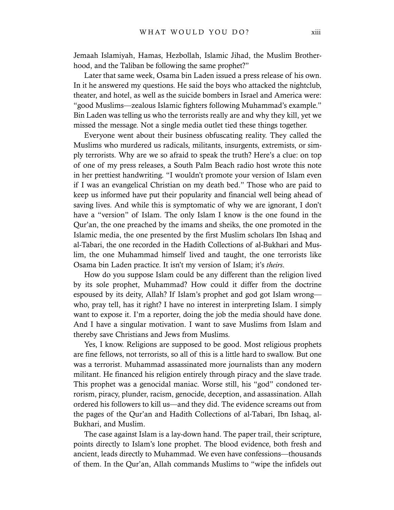Jemaah Islamiyah, Hamas, Hezbollah, Islamic Jihad, the Muslim Brotherhood, and the Taliban be following the same prophet?"

Later that same week, Osama bin Laden issued a press release of his own. In it he answered my questions. He said the boys who attacked the nightclub, theater, and hotel, as well as the suicide bombers in Israel and America were: "good Muslims—zealous Islamic fighters following Muhammad's example." Bin Laden was telling us who the terrorists really are and why they kill, yet we missed the message. Not a single media outlet tied these things together.

Everyone went about their business obfuscating reality. They called the Muslims who murdered us radicals, militants, insurgents, extremists, or simply terrorists. Why are we so afraid to speak the truth? Here's a clue: on top of one of my press releases, a South Palm Beach radio host wrote this note in her prettiest handwriting. "I wouldn't promote your version of Islam even if I was an evangelical Christian on my death bed." Those who are paid to keep us informed have put their popularity and financial well being ahead of saving lives. And while this is symptomatic of why we are ignorant, I don't have a "version" of Islam. The only Islam I know is the one found in the Qur'an, the one preached by the imams and sheiks, the one promoted in the Islamic media, the one presented by the first Muslim scholars Ibn Ishaq and al-Tabari, the one recorded in the Hadith Collections of al-Bukhari and Muslim, the one Muhammad himself lived and taught, the one terrorists like Osama bin Laden practice. It isn't my version of Islam; it's *theirs*.

How do you suppose Islam could be any different than the religion lived by its sole prophet, Muhammad? How could it differ from the doctrine espoused by its deity, Allah? If Islam's prophet and god got Islam wrong who, pray tell, has it right? I have no interest in interpreting Islam. I simply want to expose it. I'm a reporter, doing the job the media should have done. And I have a singular motivation. I want to save Muslims from Islam and thereby save Christians and Jews from Muslims.

Yes, I know. Religions are supposed to be good. Most religious prophets are fine fellows, not terrorists, so all of this is a little hard to swallow. But one was a terrorist. Muhammad assassinated more journalists than any modern militant. He financed his religion entirely through piracy and the slave trade. This prophet was a genocidal maniac. Worse still, his "god" condoned terrorism, piracy, plunder, racism, genocide, deception, and assassination. Allah ordered his followers to kill us—and they did. The evidence screams out from the pages of the Qur'an and Hadith Collections of al-Tabari, Ibn Ishaq, al-Bukhari, and Muslim.

The case against Islam is a lay-down hand. The paper trail, their scripture, points directly to Islam's lone prophet. The blood evidence, both fresh and ancient, leads directly to Muhammad. We even have confessions—thousands of them. In the Qur'an, Allah commands Muslims to "wipe the infidels out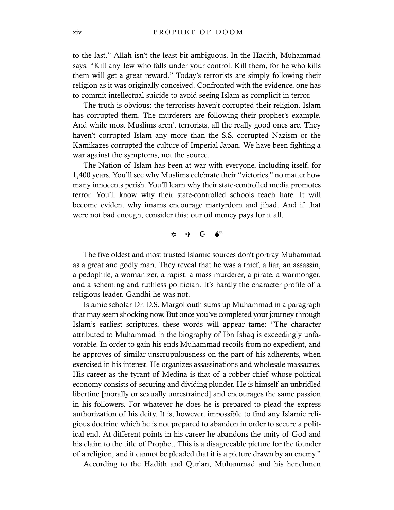to the last." Allah isn't the least bit ambiguous. In the Hadith, Muhammad says, "Kill any Jew who falls under your control. Kill them, for he who kills them will get a great reward." Today's terrorists are simply following their religion as it was originally conceived. Confronted with the evidence, one has to commit intellectual suicide to avoid seeing Islam as complicit in terror.

The truth is obvious: the terrorists haven't corrupted their religion. Islam has corrupted them. The murderers are following their prophet's example. And while most Muslims aren't terrorists, all the really good ones are. They haven't corrupted Islam any more than the S.S. corrupted Nazism or the Kamikazes corrupted the culture of Imperial Japan. We have been fighting a war against the symptoms, not the source.

The Nation of Islam has been at war with everyone, including itself, for 1,400 years. You'll see why Muslims celebrate their "victories," no matter how many innocents perish. You'll learn why their state-controlled media promotes terror. You'll know why their state-controlled schools teach hate. It will become evident why imams encourage martyrdom and jihad. And if that were not bad enough, consider this: our oil money pays for it all.

@ = A 0

The five oldest and most trusted Islamic sources don't portray Muhammad as a great and godly man. They reveal that he was a thief, a liar, an assassin, a pedophile, a womanizer, a rapist, a mass murderer, a pirate, a warmonger, and a scheming and ruthless politician. It's hardly the character profile of a religious leader. Gandhi he was not.

Islamic scholar Dr. D.S. Margoliouth sums up Muhammad in a paragraph that may seem shocking now. But once you've completed your journey through Islam's earliest scriptures, these words will appear tame: "The character attributed to Muhammad in the biography of Ibn Ishaq is exceedingly unfavorable. In order to gain his ends Muhammad recoils from no expedient, and he approves of similar unscrupulousness on the part of his adherents, when exercised in his interest. He organizes assassinations and wholesale massacres. His career as the tyrant of Medina is that of a robber chief whose political economy consists of securing and dividing plunder. He is himself an unbridled libertine [morally or sexually unrestrained] and encourages the same passion in his followers. For whatever he does he is prepared to plead the express authorization of his deity. It is, however, impossible to find any Islamic religious doctrine which he is not prepared to abandon in order to secure a political end. At different points in his career he abandons the unity of God and his claim to the title of Prophet. This is a disagreeable picture for the founder of a religion, and it cannot be pleaded that it is a picture drawn by an enemy."

According to the Hadith and Qur'an, Muhammad and his henchmen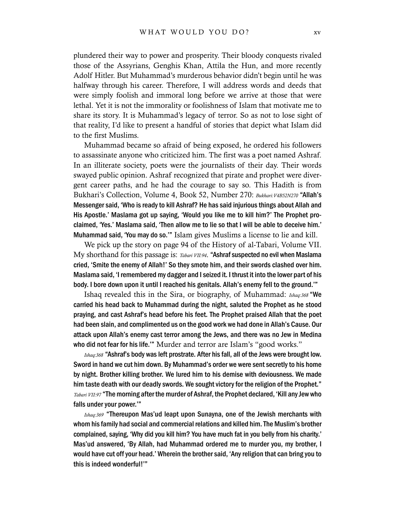plundered their way to power and prosperity. Their bloody conquests rivaled those of the Assyrians, Genghis Khan, Attila the Hun, and more recently Adolf Hitler. But Muhammad's murderous behavior didn't begin until he was halfway through his career. Therefore, I will address words and deeds that were simply foolish and immoral long before we arrive at those that were lethal. Yet it is not the immorality or foolishness of Islam that motivate me to share its story. It is Muhammad's legacy of terror. So as not to lose sight of that reality, I'd like to present a handful of stories that depict what Islam did to the first Muslims.

Muhammad became so afraid of being exposed, he ordered his followers to assassinate anyone who criticized him. The first was a poet named Ashraf. In an illiterate society, poets were the journalists of their day. Their words swayed public opinion. Ashraf recognized that pirate and prophet were divergent career paths, and he had the courage to say so. This Hadith is from Bukhari's Collection, Volume 4, Book 52, Number 270: *Bukhari:V4B52N270* "Allah's Messenger said, 'Who is ready to kill Ashraf? He has said injurious things about Allah and His Apostle.' Maslama got up saying, 'Would you like me to kill him?' The Prophet proclaimed, 'Yes.' Maslama said, 'Then allow me to lie so that I will be able to deceive him.' Muhammad said, 'You may do so.'" Islam gives Muslims a license to lie and kill.

We pick up the story on page 94 of the History of al-Tabari, Volume VII. My shorthand for this passage is: *Tabari VII:94*. "Ashraf suspected no evil when Maslama cried, 'Smite the enemy of Allah!' So they smote him, and their swords clashed over him. Maslama said, 'I remembered my dagger and I seized it. I thrust it into the lower part of his body. I bore down upon it until I reached his genitals. Allah's enemy fell to the ground.'"

Ishaq revealed this in the Sira, or biography, of Muhammad: *Ishaq:368* "We carried his head back to Muhammad during the night, saluted the Prophet as he stood praying, and cast Ashraf's head before his feet. The Prophet praised Allah that the poet had been slain, and complimented us on the good work we had done in Allah's Cause. Our attack upon Allah's enemy cast terror among the Jews, and there was no Jew in Medina who did not fear for his life." Murder and terror are Islam's "good works."

*Ishaq:368* "Ashraf's body was left prostrate. After his fall, all of the Jews were brought low. Sword in hand we cut him down. By Muhammad's order we were sent secretly to his home by night. Brother killing brother. We lured him to his demise with deviousness. We made him taste death with our deadly swords. We sought victory for the religion of the Prophet." *Tabari VII:97* "The morning after the murder of Ashraf, the Prophet declared, 'Kill any Jew who falls under your power.'"

*Ishaq:369* "Thereupon Mas'ud leapt upon Sunayna, one of the Jewish merchants with whom his family had social and commercial relations and killed him. The Muslim's brother complained, saying, 'Why did you kill him? You have much fat in you belly from his charity.' Mas'ud answered, 'By Allah, had Muhammad ordered me to murder you, my brother, I would have cut off your head.' Wherein the brother said, 'Any religion that can bring you to this is indeed wonderful!'"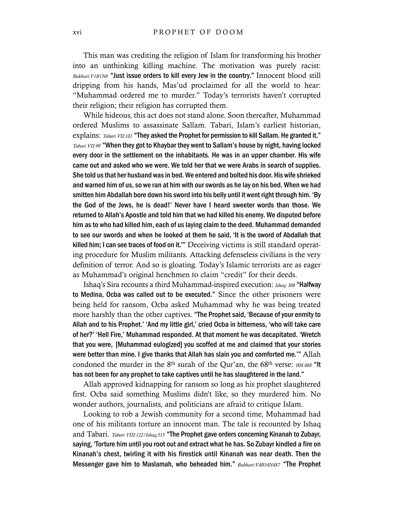This man was crediting the religion of Islam for transforming his brother into an unthinking killing machine. The motivation was purely racist: *Bukhari:V1B1N6* "Just issue orders to kill every Jew in the country." Innocent blood still dripping from his hands, Mas'ud proclaimed for all the world to hear: "Muhammad ordered me to murder." Today's terrorists haven't corrupted their religion; their religion has corrupted them.

While hideous, this act does not stand alone. Soon thereafter, Muhammad ordered Muslims to assassinate Sallam. Tabari, Islam's earliest historian, explains: *Tabari VII:101* "They asked the Prophet for permission to kill Sallam. He granted it." *Tabari VII:99* "When they got to Khaybar they went to Sallam's house by night, having locked every door in the settlement on the inhabitants. He was in an upper chamber. His wife came out and asked who we were. We told her that we were Arabs in search of supplies. She told us that her husband was in bed. We entered and bolted his door. His wife shrieked and warned him of us, so we ran at him with our swords as he lay on his bed. When we had smitten him Abdallah bore down his sword into his belly until it went right through him. 'By the God of the Jews, he is dead!' Never have I heard sweeter words than those. We returned to Allah's Apostle and told him that we had killed his enemy. We disputed before him as to who had killed him, each of us laying claim to the deed. Muhammad demanded to see our swords and when he looked at them he said, 'It is the sword of Abdallah that killed him; I can see traces of food on it.'" Deceiving victims is still standard operating procedure for Muslim militants. Attacking defenseless civilians is the very definition of terror. And so is gloating. Today's Islamic terrorists are as eager as Muhammad's original henchmen to claim "credit" for their deeds.

Ishaq's Sira recounts a third Muhammad-inspired execution: *Ishaq: 308* "Halfway to Medina, Ocba was called out to be executed." Since the other prisoners were being held for ransom, Ocba asked Muhammad why he was being treated more harshly than the other captives. "The Prophet said, 'Because of your enmity to Allah and to his Prophet.' 'And my little girl,' cried Ocba in bitterness, 'who will take care of her?' 'Hell Fire,' Muhammad responded. At that moment he was decapitated. 'Wretch that you were, [Muhammad eulogized] you scoffed at me and claimed that your stories were better than mine. I give thanks that Allah has slain you and comforted me.'" Allah condoned the murder in the 8th surah of the Qur'an, the 68th verse: *008.068* "It has not been for any prophet to take captives until he has slaughtered in the land."

Allah approved kidnapping for ransom so long as his prophet slaughtered first. Ocba said something Muslims didn't like, so they murdered him. No wonder authors, journalists, and politicians are afraid to critique Islam.

Looking to rob a Jewish community for a second time, Muhammad had one of his militants torture an innocent man. The tale is recounted by Ishaq and Tabari. *Tabari VIII:122/Ishaq:515* "The Prophet gave orders concerning Kinanah to Zubayr, saying, 'Torture him until you root out and extract what he has. So Zubayr kindled a fire on Kinanah's chest, twirling it with his firestick until Kinanah was near death. Then the Messenger gave him to Maslamah, who beheaded him." *Bukhari:V4B54N487* "The Prophet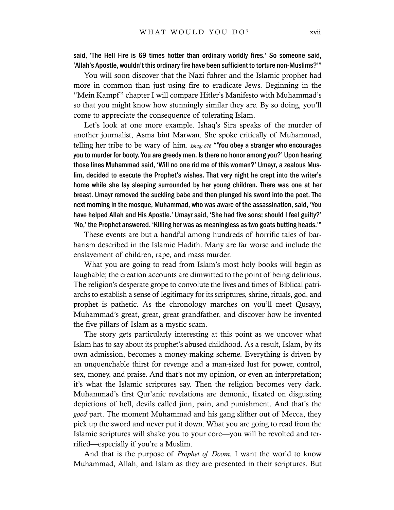said, 'The Hell Fire is 69 times hotter than ordinary worldly fires.' So someone said, 'Allah's Apostle, wouldn't this ordinary fire have been sufficient to torture non-Muslims?'"

You will soon discover that the Nazi fuhrer and the Islamic prophet had more in common than just using fire to eradicate Jews. Beginning in the "Mein Kampf" chapter I will compare Hitler's Manifesto with Muhammad's so that you might know how stunningly similar they are. By so doing, you'll come to appreciate the consequence of tolerating Islam.

Let's look at one more example. Ishaq's Sira speaks of the murder of another journalist, Asma bint Marwan. She spoke critically of Muhammad, telling her tribe to be wary of him. *Ishaq: 676* "'You obey a stranger who encourages you to murder for booty. You are greedy men. Is there no honor among you?' Upon hearing those lines Muhammad said, 'Will no one rid me of this woman?' Umayr, a zealous Muslim, decided to execute the Prophet's wishes. That very night he crept into the writer's home while she lay sleeping surrounded by her young children. There was one at her breast. Umayr removed the suckling babe and then plunged his sword into the poet. The next morning in the mosque, Muhammad, who was aware of the assassination, said, 'You have helped Allah and His Apostle.' Umayr said, 'She had five sons; should I feel guilty?' 'No,' the Prophet answered. 'Killing her was as meaningless as two goats butting heads.'"

These events are but a handful among hundreds of horrific tales of barbarism described in the Islamic Hadith. Many are far worse and include the enslavement of children, rape, and mass murder.

What you are going to read from Islam's most holy books will begin as laughable; the creation accounts are dimwitted to the point of being delirious. The religion's desperate grope to convolute the lives and times of Biblical patriarchs to establish a sense of legitimacy for its scriptures, shrine, rituals, god, and prophet is pathetic. As the chronology marches on you'll meet Qusayy, Muhammad's great, great, great grandfather, and discover how he invented the five pillars of Islam as a mystic scam.

The story gets particularly interesting at this point as we uncover what Islam has to say about its prophet's abused childhood. As a result, Islam, by its own admission, becomes a money-making scheme. Everything is driven by an unquenchable thirst for revenge and a man-sized lust for power, control, sex, money, and praise. And that's not my opinion, or even an interpretation; it's what the Islamic scriptures say. Then the religion becomes very dark. Muhammad's first Qur'anic revelations are demonic, fixated on disgusting depictions of hell, devils called jinn, pain, and punishment. And that's the *good* part. The moment Muhammad and his gang slither out of Mecca, they pick up the sword and never put it down. What you are going to read from the Islamic scriptures will shake you to your core—you will be revolted and terrified—especially if you're a Muslim.

And that is the purpose of *Prophet of Doom*. I want the world to know Muhammad, Allah, and Islam as they are presented in their scriptures. But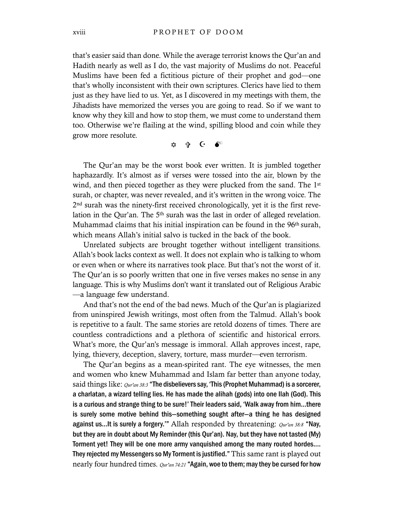that's easier said than done. While the average terrorist knows the Qur'an and Hadith nearly as well as I do, the vast majority of Muslims do not. Peaceful Muslims have been fed a fictitious picture of their prophet and god—one that's wholly inconsistent with their own scriptures. Clerics have lied to them just as they have lied to us. Yet, as I discovered in my meetings with them, the Jihadists have memorized the verses you are going to read. So if we want to know why they kill and how to stop them, we must come to understand them too. Otherwise we're flailing at the wind, spilling blood and coin while they grow more resolute.

 $\hat{\mathbf{x}}$   $\mathbf{h}$   $\mathbf{G}$   $\mathbf{S}^*$ 

The Qur'an may be the worst book ever written. It is jumbled together haphazardly. It's almost as if verses were tossed into the air, blown by the wind, and then pieced together as they were plucked from the sand. The 1<sup>st</sup> surah, or chapter, was never revealed, and it's written in the wrong voice. The 2nd surah was the ninety-first received chronologically, yet it is the first revelation in the Qur'an. The 5th surah was the last in order of alleged revelation. Muhammad claims that his initial inspiration can be found in the 96<sup>th</sup> surah, which means Allah's initial salvo is tucked in the back of the book.

Unrelated subjects are brought together without intelligent transitions. Allah's book lacks context as well. It does not explain who is talking to whom or even when or where its narratives took place. But that's not the worst of it. The Qur'an is so poorly written that one in five verses makes no sense in any language. This is why Muslims don't want it translated out of Religious Arabic —a language few understand.

And that's not the end of the bad news. Much of the Qur'an is plagiarized from uninspired Jewish writings, most often from the Talmud. Allah's book is repetitive to a fault. The same stories are retold dozens of times. There are countless contradictions and a plethora of scientific and historical errors. What's more, the Qur'an's message is immoral. Allah approves incest, rape, lying, thievery, deception, slavery, torture, mass murder—even terrorism.

The Qur'an begins as a mean-spirited rant. The eye witnesses, the men and women who knew Muhammad and Islam far better than anyone today, said things like: *Qur'an 38:3* "The disbelievers say, 'This (Prophet Muhammad) is a sorcerer, a charlatan, a wizard telling lies. He has made the alihah (gods) into one Ilah (God). This is a curious and strange thing to be sure!' Their leaders said, 'Walk away from him…there is surely some motive behind this—something sought after—a thing he has designed against us…It is surely a forgery.'" Allah responded by threatening: *Qur'an 38:8* "Nay, but they are in doubt about My Reminder (this Qur'an). Nay, but they have not tasted (My) Torment yet! They will be one more army vanquished among the many routed hordes.... They rejected my Messengers so My Torment is justified." This same rant is played out nearly four hundred times. *Qur'an 74:21* "Again, woe to them; may they be cursed for how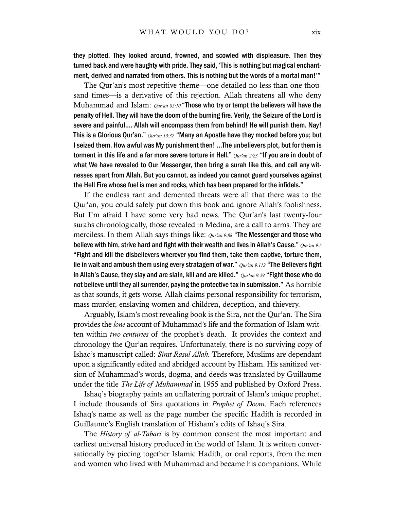they plotted. They looked around, frowned, and scowled with displeasure. Then they turned back and were haughty with pride. They said, 'This is nothing but magical enchantment, derived and narrated from others. This is nothing but the words of a mortal man!'"

The Qur'an's most repetitive theme—one detailed no less than one thousand times—is a derivative of this rejection. Allah threatens all who deny Muhammad and Islam: *Qur'an 85:10* "Those who try or tempt the believers will have the penalty of Hell. They will have the doom of the burning fire. Verily, the Seizure of the Lord is severe and painful…. Allah will encompass them from behind! He will punish them. Nay! This is a Glorious Qur'an." *Qur'an 13:32* "Many an Apostle have they mocked before you; but I seized them. How awful was My punishment then! …The unbelievers plot, but for them is torment in this life and a far more severe torture in Hell." *Qur'an 2:23* "If you are in doubt of what We have revealed to Our Messenger, then bring a surah like this, and call any witnesses apart from Allah. But you cannot, as indeed you cannot guard yourselves against the Hell Fire whose fuel is men and rocks, which has been prepared for the infidels."

If the endless rant and demented threats were all that there was to the Qur'an, you could safely put down this book and ignore Allah's foolishness. But I'm afraid I have some very bad news. The Qur'an's last twenty-four surahs chronologically, those revealed in Medina, are a call to arms. They are merciless. In them Allah says things like: *Qur'an 9:88* "The Messenger and those who believe with him, strive hard and fight with their wealth and lives in Allah's Cause." *Qur'an 9:5* "Fight and kill the disbelievers wherever you find them, take them captive, torture them, lie in wait and ambush them using every stratagem of war." *Qur'an 9:112* "The Believers fight in Allah's Cause, they slay and are slain, kill and are killed." *Qur'an 9:29* "Fight those who do not believe until they all surrender, paying the protective tax in submission." As horrible as that sounds, it gets worse. Allah claims personal responsibility for terrorism, mass murder, enslaving women and children, deception, and thievery.

Arguably, Islam's most revealing book is the Sira, not the Qur'an. The Sira provides the *lone* account of Muhammad's life and the formation of Islam written within *two centuries* of the prophet's death. It provides the context and chronology the Qur'an requires. Unfortunately, there is no surviving copy of Ishaq's manuscript called: *Sirat Rasul Allah.* Therefore, Muslims are dependant upon a significantly edited and abridged account by Hisham. His sanitized version of Muhammad's words, dogma, and deeds was translated by Guillaume under the title *The Life of Muhammad* in 1955 and published by Oxford Press.

Ishaq's biography paints an unflatering portrait of Islam's unique prophet. I include thousands of Sira quotations in *Prophet of Doom*. Each references Ishaq's name as well as the page number the specific Hadith is recorded in Guillaume's English translation of Hisham's edits of Ishaq's Sira.

The *History of al-Tabari* is by common consent the most important and earliest universal history produced in the world of Islam. It is written conversationally by piecing together Islamic Hadith, or oral reports, from the men and women who lived with Muhammad and became his companions. While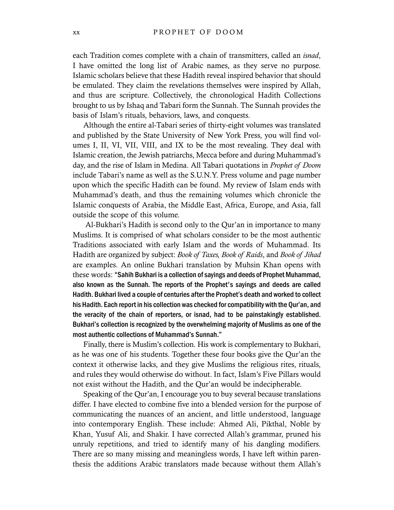each Tradition comes complete with a chain of transmitters, called an *isnad*, I have omitted the long list of Arabic names, as they serve no purpose. Islamic scholars believe that these Hadith reveal inspired behavior that should be emulated. They claim the revelations themselves were inspired by Allah, and thus are scripture. Collectively, the chronological Hadith Collections brought to us by Ishaq and Tabari form the Sunnah. The Sunnah provides the basis of Islam's rituals, behaviors, laws, and conquests.

Although the entire al-Tabari series of thirty-eight volumes was translated and published by the State University of New York Press, you will find volumes I, II, VI, VII, VIII, and IX to be the most revealing. They deal with Islamic creation, the Jewish patriarchs, Mecca before and during Muhammad's day, and the rise of Islam in Medina. All Tabari quotations in *Prophet of Doom* include Tabari's name as well as the S.U.N.Y. Press volume and page number upon which the specific Hadith can be found. My review of Islam ends with Muhammad's death, and thus the remaining volumes which chronicle the Islamic conquests of Arabia, the Middle East, Africa, Europe, and Asia, fall outside the scope of this volume.

Al-Bukhari's Hadith is second only to the Qur'an in importance to many Muslims. It is comprised of what scholars consider to be the most authentic Traditions associated with early Islam and the words of Muhammad. Its Hadith are organized by subject: *Book of Taxes, Book of Raids*, and *Book of Jihad* are examples. An online Bukhari translation by Muhsin Khan opens with these words: "Sahih Bukhari is a collection of sayings and deeds of Prophet Muhammad, also known as the Sunnah. The reports of the Prophet's sayings and deeds are called Hadith. Bukhari lived a couple of centuries after the Prophet's death and worked to collect his Hadith. Each report in his collection was checked for compatibility with the Qur'an, and the veracity of the chain of reporters, or isnad, had to be painstakingly established. Bukhari's collection is recognized by the overwhelming majority of Muslims as one of the most authentic collections of Muhammad's Sunnah."

Finally, there is Muslim's collection. His work is complementary to Bukhari, as he was one of his students. Together these four books give the Qur'an the context it otherwise lacks, and they give Muslims the religious rites, rituals, and rules they would otherwise do without. In fact, Islam's Five Pillars would not exist without the Hadith, and the Qur'an would be indecipherable.

Speaking of the Qur'an, I encourage you to buy several because translations differ. I have elected to combine five into a blended version for the purpose of communicating the nuances of an ancient, and little understood, language into contemporary English. These include: Ahmed Ali, Pikthal, Noble by Khan, Yusuf Ali, and Shakir. I have corrected Allah's grammar, pruned his unruly repetitions, and tried to identify many of his dangling modifiers. There are so many missing and meaningless words, I have left within parenthesis the additions Arabic translators made because without them Allah's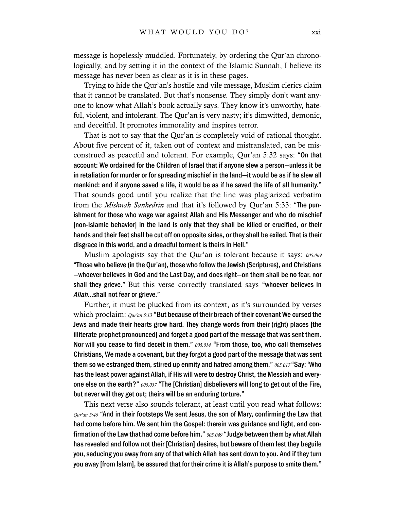message is hopelessly muddled. Fortunately, by ordering the Qur'an chronologically, and by setting it in the context of the Islamic Sunnah, I believe its message has never been as clear as it is in these pages.

Trying to hide the Qur'an's hostile and vile message, Muslim clerics claim that it cannot be translated. But that's nonsense. They simply don't want anyone to know what Allah's book actually says. They know it's unworthy, hateful, violent, and intolerant. The Qur'an is very nasty; it's dimwitted, demonic, and deceitful. It promotes immorality and inspires terror.

That is not to say that the Qur'an is completely void of rational thought. About five percent of it, taken out of context and mistranslated, can be misconstrued as peaceful and tolerant. For example, Qur'an 5:32 says: "On that account: We ordained for the Children of Israel that if anyone slew a person—unless it be in retaliation for murder or for spreading mischief in the land—it would be as if he slew all mankind: and if anyone saved a life, it would be as if he saved the life of all humanity." That sounds good until you realize that the line was plagiarized verbatim from the *Mishnah Sanhedrin* and that it's followed by Qur'an 5:33: "The punishment for those who wage war against Allah and His Messenger and who do mischief [non-Islamic behavior] in the land is only that they shall be killed or crucified, or their hands and their feet shall be cut off on opposite sides, or they shall be exiled. That is their disgrace in this world, and a dreadful torment is theirs in Hell."

Muslim apologists say that the Qur'an is tolerant because it says: *005.069* "Those who believe (in the Qur'an), those who follow the Jewish (Scriptures), and Christians —whoever believes in God and the Last Day, and does right—on them shall be no fear, nor shall they grieve." But this verse correctly translated says "whoever believes in Allah...shall not fear or grieve."

Further, it must be plucked from its context, as it's surrounded by verses which proclaim: *Qur'an 5:13* "But because of their breach of their covenant We cursed the Jews and made their hearts grow hard. They change words from their (right) places [the illiterate prophet pronounced] and forget a good part of the message that was sent them. Nor will you cease to find deceit in them." *005.014* "From those, too, who call themselves Christians, We made a covenant, but they forgot a good part of the message that was sent them so we estranged them, stirred up enmity and hatred among them." *005.017* "Say: 'Who has the least power against Allah, if His will were to destroy Christ, the Messiah and everyone else on the earth?" *005.037* "The [Christian] disbelievers will long to get out of the Fire, but never will they get out; theirs will be an enduring torture."

This next verse also sounds tolerant, at least until you read what follows: *Qur'an 5:46* "And in their footsteps We sent Jesus, the son of Mary, confirming the Law that had come before him. We sent him the Gospel: therein was guidance and light, and confirmation of the Law that had come before him." *005.049* "Judge between them by what Allah has revealed and follow not their [Christian] desires, but beware of them lest they beguile you, seducing you away from any of that which Allah has sent down to you. And if they turn you away [from Islam], be assured that for their crime it is Allah's purpose to smite them."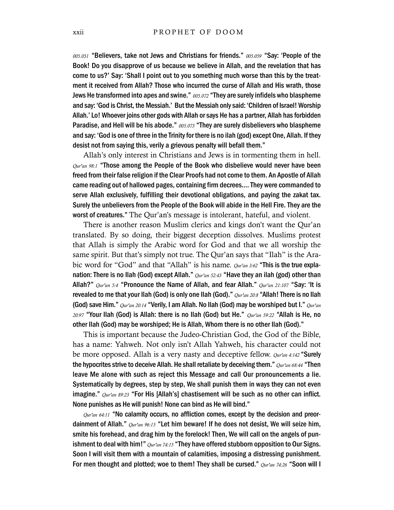*005.051* "Believers, take not Jews and Christians for friends." *005.059* "Say: 'People of the Book! Do you disapprove of us because we believe in Allah, and the revelation that has come to us?' Say: 'Shall I point out to you something much worse than this by the treatment it received from Allah? Those who incurred the curse of Allah and His wrath, those Jews He transformed into apes and swine." *005.072* "They are surely infidels who blaspheme and say: 'God is Christ, the Messiah.' But the Messiah only said: 'Children of Israel! Worship Allah.' Lo! Whoever joins other gods with Allah or says He has a partner, Allah has forbidden Paradise, and Hell will be his abode." *005.073* "They are surely disbelievers who blaspheme and say: 'God is one of three in the Trinity for there is no ilah (god) except One, Allah. If they desist not from saying this, verily a grievous penalty will befall them."

Allah's only interest in Christians and Jews is in tormenting them in hell. *Qur'an 98:1* "Those among the People of the Book who disbelieve would never have been freed from their false religion if the Clear Proofs had not come to them. An Apostle of Allah came reading out of hallowed pages, containing firm decrees…. They were commanded to serve Allah exclusively, fulfilling their devotional obligations, and paying the zakat tax. Surely the unbelievers from the People of the Book will abide in the Hell Fire. They are the worst of creatures." The Qur'an's message is intolerant, hateful, and violent.

There is another reason Muslim clerics and kings don't want the Qur'an translated. By so doing, their biggest deception dissolves. Muslims protest that Allah is simply the Arabic word for God and that we all worship the same spirit. But that's simply not true. The Qur'an says that "Ilah" is the Arabic word for "God" and that "Allah" is his name. *Qur'an 3:62* "This is the true explanation: There is no Ilah (God) except Allah." *Qur'an 52:43* "Have they an ilah (god) other than Allah?" *Qur'an 5:4* "Pronounce the Name of Allah, and fear Allah." *Qur'an 21:107* "Say: 'It is revealed to me that your Ilah (God) is only one Ilah (God)." *Qur'an 20:8* "Allah! There is no Ilah (God) save Him." *Qur'an 20:14* "Verily, I am Allah. No Ilah (God) may be worshiped but I." *Qur'an 20:97* "Your Ilah (God) is Allah: there is no Ilah (God) but He." *Qur'an 59:22* "Allah is He, no other Ilah (God) may be worshiped; He is Allah, Whom there is no other Ilah (God)."

This is important because the Judeo-Christian God, the God of the Bible, has a name: Yahweh. Not only isn't Allah Yahweh, his character could not be more opposed. Allah is a very nasty and deceptive fellow. *Qur'an 4:142* "Surely the hypocrites strive to deceive Allah. He shall retaliate by deceiving them." *Qur'an 68:44* "Then leave Me alone with such as reject this Message and call Our pronouncements a lie. Systematically by degrees, step by step, We shall punish them in ways they can not even imagine." *Qur'an 89:23* "For His [Allah's] chastisement will be such as no other can inflict. None punishes as He will punish! None can bind as He will bind."

*Qur'an 64:11* "No calamity occurs, no affliction comes, except by the decision and preordainment of Allah." *Qur'an 96:15* "Let him beware! If he does not desist, We will seize him, smite his forehead, and drag him by the forelock! Then, We will call on the angels of punishment to deal with him!" *Qur'an 74:15* "They have offered stubborn opposition to Our Signs. Soon I will visit them with a mountain of calamities, imposing a distressing punishment. For men thought and plotted; woe to them! They shall be cursed." *Qur'an 74:26* "Soon will I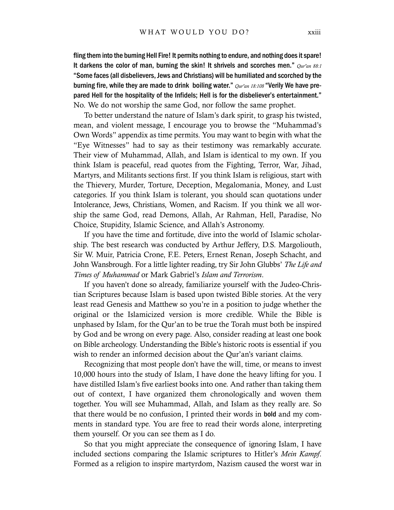fling them into the burning Hell Fire! It permits nothing to endure, and nothing does it spare! It darkens the color of man, burning the skin! It shrivels and scorches men." *Qur'an 88:1* "Some faces (all disbelievers, Jews and Christians) will be humiliated and scorched by the burning fire, while they are made to drink boiling water." *Qur'an 18:108* "Verily We have prepared Hell for the hospitality of the Infidels; Hell is for the disbeliever's entertainment." No. We do not worship the same God, nor follow the same prophet.

To better understand the nature of Islam's dark spirit, to grasp his twisted, mean, and violent message, I encourage you to browse the "Muhammad's Own Words" appendix as time permits. You may want to begin with what the "Eye Witnesses" had to say as their testimony was remarkably accurate. Their view of Muhammad, Allah, and Islam is identical to my own. If you think Islam is peaceful, read quotes from the Fighting, Terror, War, Jihad, Martyrs, and Militants sections first. If you think Islam is religious, start with the Thievery, Murder, Torture, Deception, Megalomania, Money, and Lust categories. If you think Islam is tolerant, you should scan quotations under Intolerance, Jews, Christians, Women, and Racism. If you think we all worship the same God, read Demons, Allah, Ar Rahman, Hell, Paradise, No Choice, Stupidity, Islamic Science, and Allah's Astronomy.

If you have the time and fortitude, dive into the world of Islamic scholarship. The best research was conducted by Arthur Jeffery, D.S. Margoliouth, Sir W. Muir, Patricia Crone, F.E. Peters, Ernest Renan, Joseph Schacht, and John Wansbrough. For a little lighter reading, try Sir John Glubbs' *The Life and Times of Muhammad* or Mark Gabriel's *Islam and Terrorism*.

If you haven't done so already, familiarize yourself with the Judeo-Christian Scriptures because Islam is based upon twisted Bible stories. At the very least read Genesis and Matthew so you're in a position to judge whether the original or the Islamicized version is more credible. While the Bible is unphased by Islam, for the Qur'an to be true the Torah must both be inspired by God and be wrong on every page. Also, consider reading at least one book on Bible archeology. Understanding the Bible's historic roots is essential if you wish to render an informed decision about the Qur'an's variant claims.

Recognizing that most people don't have the will, time, or means to invest 10,000 hours into the study of Islam, I have done the heavy lifting for you. I have distilled Islam's five earliest books into one. And rather than taking them out of context, I have organized them chronologically and woven them together. You will see Muhammad, Allah, and Islam as they really are. So that there would be no confusion, I printed their words in bold and my comments in standard type. You are free to read their words alone, interpreting them yourself. Or you can see them as I do.

So that you might appreciate the consequence of ignoring Islam, I have included sections comparing the Islamic scriptures to Hitler's *Mein Kampf*. Formed as a religion to inspire martyrdom, Nazism caused the worst war in